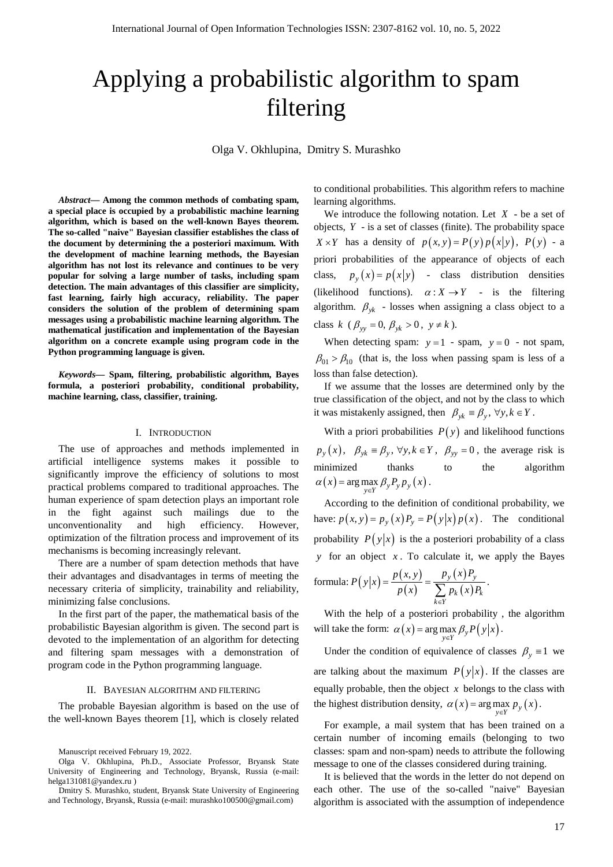# Applying a probabilistic algorithm to spam filtering

Olga V. Okhlupina, Dmitry S. Murashko

*Abstract***— Among the common methods of combating spam, a special place is occupied by a probabilistic machine learning algorithm, which is based on the well-known Bayes theorem. The so-called "naive" Bayesian classifier establishes the class of the document by determining the a posteriori maximum. With the development of machine learning methods, the Bayesian algorithm has not lost its relevance and continues to be very popular for solving a large number of tasks, including spam detection. The main advantages of this classifier are simplicity, fast learning, fairly high accuracy, reliability. The paper considers the solution of the problem of determining spam messages using a probabilistic machine learning algorithm. The mathematical justification and implementation of the Bayesian algorithm on a concrete example using program code in the Python programming language is given.**

*Keywords***— Spam, filtering, probabilistic algorithm, Bayes formula, a posteriori probability, conditional probability, machine learning, class, classifier, training.**

### I. INTRODUCTION

The use of approaches and methods implemented in artificial intelligence systems makes it possible to significantly improve the efficiency of solutions to most practical problems compared to traditional approaches. The human experience of spam detection plays an important role in the fight against such mailings due to the unconventionality and high efficiency. However, optimization of the filtration process and improvement of its mechanisms is becoming increasingly relevant.

There are a number of spam detection methods that have their advantages and disadvantages in terms of meeting the necessary criteria of simplicity, trainability and reliability, minimizing false conclusions.

In the first part of the paper, the mathematical basis of the probabilistic Bayesian algorithm is given. The second part is devoted to the implementation of an algorithm for detecting and filtering spam messages with a demonstration of program code in the Python programming language.

#### II. BAYESIAN ALGORITHM AND FILTERING

The probable Bayesian algorithm is based on the use of the well-known Bayes theorem [1], which is closely related

to conditional probabilities. This algorithm refers to machine learning algorithms.

We introduce the following notation. Let *X* - be a set of objects, *Y* - is a set of classes (finite). The probability space  $X \times Y$  has a density of  $p(x, y) = P(y)p(x|y)$ ,  $P(y)$  - a priori probabilities of the appearance of objects of each class,  $p_y(x) = p(x|y)$  - class distribution densities (likelihood functions).  $\alpha: X \to Y$  - is the filtering algorithm.  $\beta_{yk}$  - losses when assigning a class object to a class *k* ( $\beta_{yy} = 0$ ,  $\beta_{yk} > 0$ ,  $y \neq k$ ).

When detecting spam:  $y = 1$  - spam,  $y = 0$  - not spam,  $\beta_{01} > \beta_{10}$  (that is, the loss when passing spam is less of a loss than false detection).

If we assume that the losses are determined only by the true classification of the object, and not by the class to which it was mistakenly assigned, then  $\beta_{yk} \equiv \beta_v$ ,  $\forall y, k \in Y$ .

With a priori probabilities  $P(y)$  and likelihood functions  $p_y(x)$ ,  $\beta_{yk} \equiv \beta_y$ ,  $\forall y, k \in Y$ ,  $\beta_{yy} = 0$ , the average risk is minimized thanks to the algorithm  $\alpha(x) = \arg \max_{y \in Y} \beta_y P_y p_y(x)$ .

According to the definition of conditional probability, we have:  $p(x, y) = p_y(x) P_y = P(y|x) p(x)$ . The conditional probability  $P(y|x)$  is the a posteriori probability of a class *y* for an object *x* . To calculate it, we apply the Bayes

formula: 
$$
P(y|x) = \frac{p(x, y)}{p(x)} = \frac{p_y(x)P_y}{\sum_{k \in Y} p_k(x)P_k}.
$$

With the help of a posteriori probability , the algorithm will take the form:  $\alpha(x) = \arg \max_{y \in Y} \beta_y P(y|x)$ .

Under the condition of equivalence of classes  $\beta$ <sub>*y*</sub> = 1 we are talking about the maximum  $P(y|x)$ . If the classes are equally probable, then the object  $x$  belongs to the class with the highest distribution density,  $\alpha(x) = \arg \max_{y \in Y} p_y(x)$ .

For example, a mail system that has been trained on a certain number of incoming emails (belonging to two classes: spam and non-spam) needs to attribute the following message to one of the classes considered during training.

It is believed that the words in the letter do not depend on each other. The use of the so-called "naive" Bayesian algorithm is associated with the assumption of independence

Manuscript received February 19, 2022.

Olga V. Okhlupina, Ph.D., Associate Professor, Bryansk State University of Engineering and Technology, Bryansk, Russia (e-mail: helga131081@yandex.ru )

Dmitry S. Murashko, student, Bryansk State University of Engineering and Technology, Bryansk, Russia (e-mail[: murashko100500@gmail.com\)](mailto:murashko100500@gmail.com)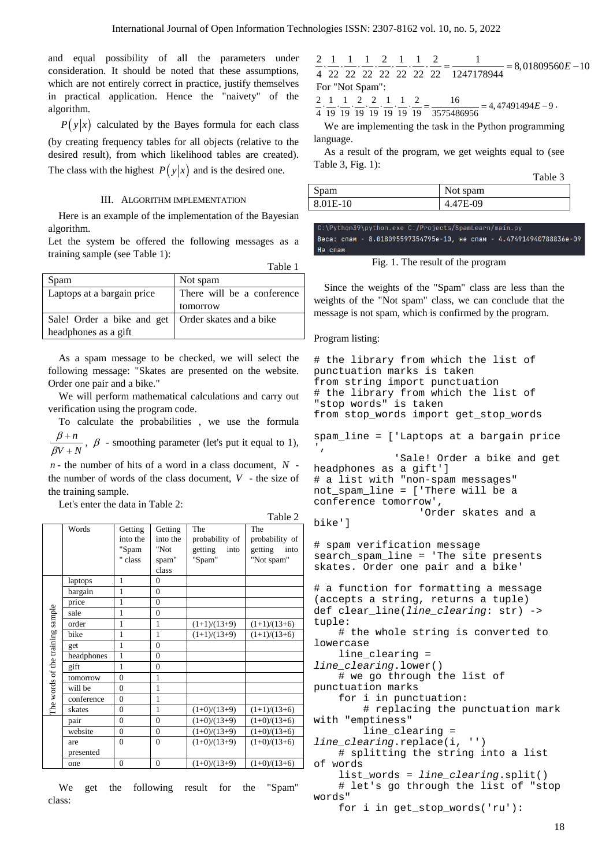and equal possibility of all the parameters under consideration. It should be noted that these assumptions, which are not entirely correct in practice, justify themselves in practical application. Hence the "naivety" of the algorithm.

 $P(y|x)$  calculated by the Bayes formula for each class (by creating frequency tables for all objects (relative to the desired result), from which likelihood tables are created). The class with the highest  $P(y|x)$  and is the desired one.

## III. ALGORITHM IMPLEMENTATION

Here is an example of the implementation of the Bayesian algorithm.

Let the system be offered the following messages as a training sample (see Table 1):

|                            | Table 1                    |  |
|----------------------------|----------------------------|--|
| Spam                       | Not spam                   |  |
| Laptops at a bargain price | There will be a conference |  |
|                            | tomorrow                   |  |
| Sale! Order a bike and get | Order skates and a bike    |  |
| headphones as a gift       |                            |  |

As a spam message to be checked, we will select the following message: "Skates are presented on the website. Order one pair and a bike."

We will perform mathematical calculations and carry out verification using the program code.

To calculate the probabilities , we use the formula *n* β  $\frac{+n}{+N}$ ,  $\beta$  - smoothing parameter (let's put it equal to 1),

*V N* β *n* - the number of hits of a word in a class document, *N* -

the number of words of the class document, *V* - the size of the training sample.

Let's enter the data in Table 2:

|                                  |            |                |                  |                 | 1 avit 2        |
|----------------------------------|------------|----------------|------------------|-----------------|-----------------|
|                                  | Words      | Getting        | Getting          | The             | The             |
|                                  |            | into the       | into the         | probability of  | probability of  |
|                                  |            | "Spam          | "Not             | getting<br>into | getting<br>into |
|                                  |            | " class        | spam"            | "Spam"          | "Not spam"      |
|                                  |            |                | class            |                 |                 |
|                                  | laptops    | 1              | $\theta$         |                 |                 |
|                                  | bargain    | 1              | $\Omega$         |                 |                 |
|                                  | price      | $\mathbf{1}$   | $\theta$         |                 |                 |
|                                  | sale       | 1              | $\theta$         |                 |                 |
| The words of the training sample | order      | 1              | 1                | $(1+1)/(13+9)$  | $(1+1)/(13+6)$  |
|                                  | bike       | $\mathbf{1}$   | 1                | $(1+1)/(13+9)$  | $(1+1)/(13+6)$  |
|                                  | get        | $\mathbf{1}$   | $\theta$         |                 |                 |
|                                  | headphones | $\mathbf{1}$   | $\theta$         |                 |                 |
|                                  | gift       | 1              | $\mathbf{0}$     |                 |                 |
|                                  | tomorrow   | $\theta$       | 1                |                 |                 |
|                                  | will be    | $\theta$       | 1                |                 |                 |
|                                  | conference | $\theta$       | 1                |                 |                 |
|                                  | skates     | $\theta$       | 1                | $(1+0)/(13+9)$  | $(1+1)/(13+6)$  |
|                                  | pair       | $\theta$       | $\theta$         | $(1+0)/(13+9)$  | $(1+0)/(13+6)$  |
|                                  | website    | $\theta$       | $\theta$         | $(1+0)/(13+9)$  | $(1+0)/(13+6)$  |
|                                  | are        | $\overline{0}$ | $\Omega$         | $(1+0)/(13+9)$  | $(1+0)/(13+6)$  |
|                                  | presented  |                |                  |                 |                 |
|                                  | one        | $\overline{0}$ | $\boldsymbol{0}$ | $(1+0)/(13+9)$  | $(1+0)/(13+6)$  |
|                                  |            |                |                  |                 |                 |

We get the following result for the "Spam" class:

 $\frac{2}{4} \cdot \frac{1}{22} \cdot \frac{1}{22} \cdot \frac{1}{22} \cdot \frac{2}{22} \cdot \frac{1}{22} \cdot \frac{2}{22} \cdot \frac{2}{22} = \frac{1}{1247178944} = 8,01809560E - 10$ For "Not Spam":

 $\frac{2}{4} \cdot \frac{1}{19} \cdot \frac{1}{19} \cdot \frac{2}{19} \cdot \frac{2}{19} \cdot \frac{1}{19} \cdot \frac{1}{19} \cdot \frac{2}{19} = \frac{16}{3575486956} = 4,47491494E - 9$ 

We are implementing the task in the Python programming language.

As a result of the program, we get weights equal to (see Table 3, Fig. 1):

|          | Table 3  |
|----------|----------|
| Spam     | Not spam |
| 8.01E-10 | 4.47E-09 |

:\Python39\python.exe C:/Projects/SpamLearn/main.p Веса: спам - 8.018095597354795е-10, не спам - 4.474914940788836е-09 Не спам

Fig. 1. The result of the program

Since the weights of the "Spam" class are less than the weights of the "Not spam" class, we can conclude that the message is not spam, which is confirmed by the program.

## Program listing:

```
# the library from which the list of 
punctuation marks is taken
from string import punctuation
# the library from which the list of 
"stop words" is taken
from stop_words import get_stop_words
```
spam\_line = ['Laptops at a bargain price  $^{\prime}$ ,

'Sale! Order a bike and get

```
headphones as a gift']
# a list with "non-spam messages"
not_spam_line = ['There will be a 
conference tomorrow',
                   'Order skates and a
```
bike']

 $Table 2$ 

# spam verification message search\_spam\_line = 'The site presents skates. Order one pair and a bike'

# a function for formatting a message (accepts a string, returns a tuple) def clear\_line(*line\_clearing*: str) -> tuple:

 # the whole string is converted to lowercase

line\_clearing =

*line\_clearing*.lower() # we go through the list of

punctuation marks for i in punctuation:

 # replacing the punctuation mark with "emptiness"

line\_clearing =

*line\_clearing*.replace(i, '') # splitting the string into a list of words list\_words = *line\_clearing*.split()

 # let's go through the list of "stop words"

for i in get\_stop\_words('ru'):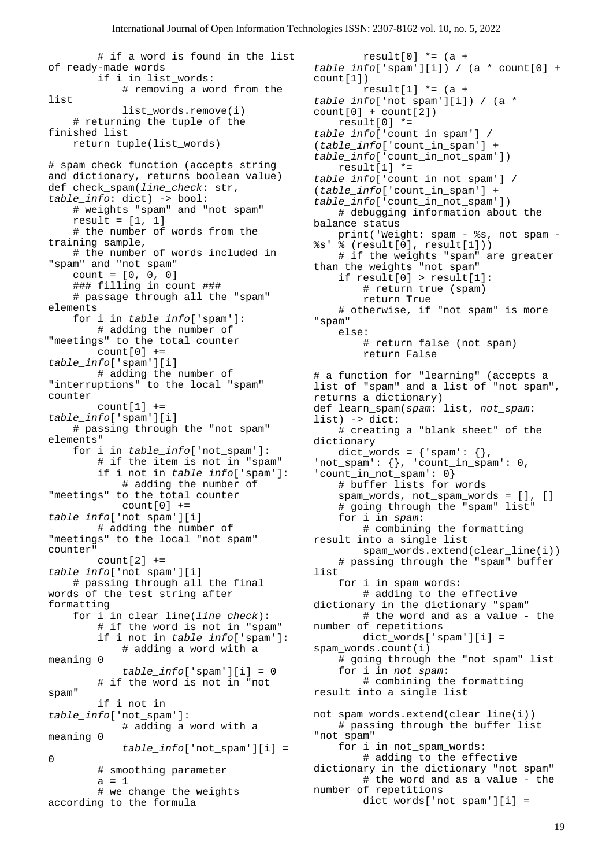# if a word is found in the list of ready-made words if i in list\_words: # removing a word from the list list\_words.remove(i) # returning the tuple of the finished list return tuple(list\_words) # spam check function (accepts string and dictionary, returns boolean value) def check\_spam(*line\_check*: str, *table\_info*: dict) -> bool: # weights "spam" and "not spam" result =  $[1, 1]$  # the number of words from the training sample, # the number of words included in "spam" and "not spam" count = [0, 0, 0] ### filling in count ### # passage through all the "spam" elements for i in *table\_info*['spam']: # adding the number of "meetings" to the total counter  $count[0] +=$ *table\_info*['spam'][i] # adding the number of "interruptions" to the local "spam" counter  $count[1] +=$ *table\_info*['spam'][i] # passing through the "not spam" elements" for i in *table\_info*['not\_spam']: # if the item is not in "spam" if i not in *table\_info*['spam']: # adding the number of "meetings" to the total counter  $count[0] +=$ *table\_info*['not\_spam'][i] # adding the number of "meetings" to the local "not spam" counter" count $[2]$  += *table\_info*['not\_spam'][i] # passing through all the final words of the test string after formatting for i in clear\_line(*line\_check*): # if the word is not in "spam" if i not in *table\_info*['spam']: # adding a word with a meaning 0 *table\_info*['spam'][i] = 0 # if the word is not in "not spam" if i not in *table\_info*['not\_spam']: # adding a word with a meaning 0 *table\_info*['not\_spam'][i] = 0 # smoothing parameter  $a = 1$  # we change the weights according to the formula

result[0]  $*=(a +$ *table\_info*['spam'][i]) / (a \* count[0] + count[1]) result[1]  $*=(a +$ *table\_info*['not\_spam'][i]) / (a \*  $count[0] + count[2])$  result[0] \*= *table\_info*['count\_in\_spam'] / (*table\_info*['count\_in\_spam'] + *table\_info*['count\_in\_not\_spam']) result $[1]$  \*= *table\_info*['count\_in\_not\_spam'] / (*table\_info*['count\_in\_spam'] + *table\_info*['count\_in\_not\_spam']) # debugging information about the balance status print('Weight: spam - %s, not spam - %s' % (result[0], result[1])) # if the weights "spam" are greater than the weights "not spam" if result[0] > result[1]: # return true (spam) return True # otherwise, if "not spam" is more "spam" else: # return false (not spam) return False # a function for "learning" (accepts a list of "spam" and a list of "not spam", returns a dictionary) def learn\_spam(*spam*: list, *not\_spam*: list) -> dict: # creating a "blank sheet" of the dictionary dict\_words =  $\{ 'spam': \{ }$ ,  $'$ not\_spam':  $\{\}$ , 'count\_in\_spam': 0, 'count\_in\_not\_spam': 0} # buffer lists for words spam\_words, not\_spam\_words =  $[]$ ,  $[]$  # going through the "spam" list" for i in *spam*: # combining the formatting result into a single list spam\_words.extend(clear\_line(i)) # passing through the "spam" buffer list for i in spam\_words: # adding to the effective dictionary in the dictionary "spam" # the word and as a value - the number of repetitions dict\_words['spam'][i] = spam\_words.count(i) # going through the "not spam" list for i in *not\_spam*: # combining the formatting result into a single list not\_spam\_words.extend(clear\_line(i)) # passing through the buffer list "not spam" for i in not\_spam\_words: # adding to the effective dictionary in the dictionary "not spam" # the word and as a value - the number of repetitions dict\_words['not\_spam'][i] =